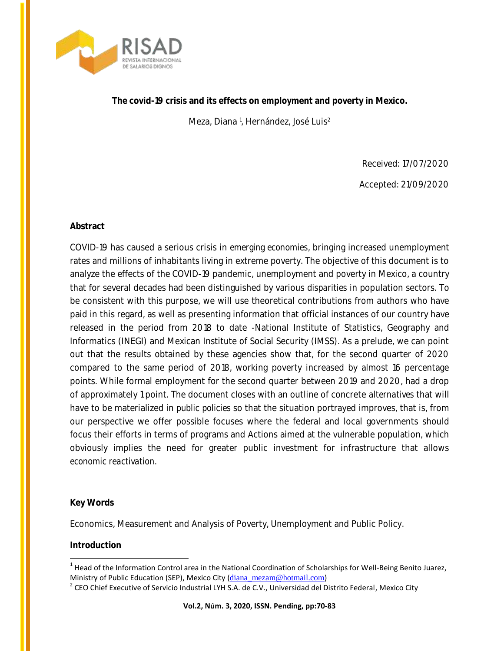

Meza, Diana <sup>1</sup>, Hernández, José Luis<sup>2</sup>

Received: 17/07/2020

Accepted: 21/09/2020

# **Abstract**

COVID-19 has caused a serious crisis in *emerging economies*, bringing increased unemployment rates and millions of inhabitants living in extreme poverty. The objective of this document is to analyze the effects of the COVID-19 pandemic, unemployment and poverty in Mexico, a country that for several decades had been distinguished by various *disparities* in population sectors. To be consistent with this purpose, we will use theoretical contributions from authors who have paid in this regard, as well as presenting information that official instances of our country have released in the period from 2018 to date -National Institute of Statistics, Geography and Informatics (INEGI) and Mexican Institute of Social Security (IMSS). As a prelude, we can point out that the results obtained by these agencies show that, for the second quarter of 2020 compared to the same period of 2018, working poverty increased by almost 16 percentage points. While formal employment for the second quarter between 2019 and 2020, had a drop of approximately 1 point. The document closes with an outline of concrete *alternatives* that will have to be materialized in *public policies* so that the situation portrayed improves, that is, from our perspective we offer possible focuses where the federal and local governments should focus their efforts in terms of programs and Actions aimed at the vulnerable population, which obviously implies the need for greater public investment for infrastructure that allows *economic reactivation*.

### **Key Words**

Economics, Measurement and Analysis of Poverty, Unemployment and Public Policy.

### **Introduction**

 $\overline{a}$  $1$  Head of the Information Control area in the National Coordination of Scholarships for Well-Being Benito Juarez, Ministry of Public Education (SEP), Mexico City ([diana\\_mezam@hotmail.com](mailto:diana_mezam@hotmail.com))

 $2$  CEO Chief Executive of Servicio Industrial LYH S.A. de C.V., Universidad del Distrito Federal, Mexico City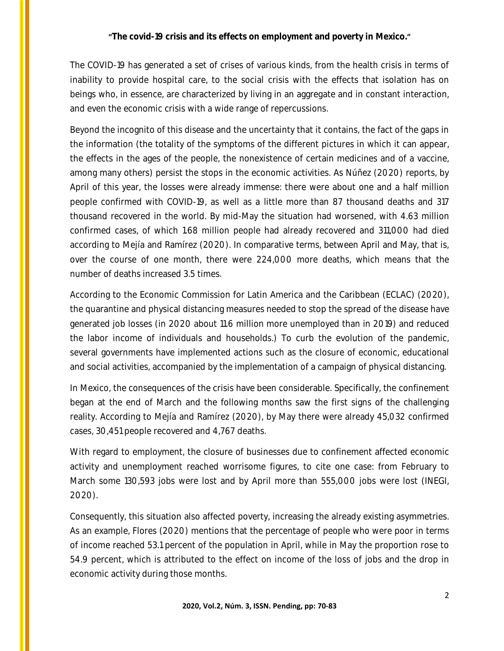The COVID-19 has generated a set of crises of various kinds, from the health crisis in terms of inability to provide hospital care, to the social crisis with the effects that isolation has on beings who, in essence, are characterized by living in an aggregate and in constant interaction, and even the economic crisis with a wide range of repercussions.

Beyond the incognito of this disease and the uncertainty that it contains, the fact of the gaps in the information (the totality of the symptoms of the different pictures in which it can appear, the effects in the ages of the people, the nonexistence of certain medicines and of a vaccine, among many others) persist the stops in the economic activities. As Núñez (2020) reports, by April of this year, the losses were already immense: there were about one and a half million people confirmed with COVID-19, as well as a little more than 87 thousand deaths and 317 thousand recovered in the world. By mid-May the situation had worsened, with 4.63 million confirmed cases, of which 1.68 million people had already recovered and 311,000 had died according to Mejía and Ramírez (2020). In comparative terms, between April and May, that is, over the course of one month, there were 224,000 more deaths, which means that the number of deaths increased 3.5 times.

According to the Economic Commission for Latin America and the Caribbean (ECLAC) (2020), the quarantine and physical distancing measures needed to stop the spread of the disease have generated job losses (in 2020 about 11.6 million more unemployed than in 2019) and reduced the labor income of individuals and households.) To curb the evolution of the pandemic, several governments have implemented actions such as the closure of economic, educational and social activities, accompanied by the implementation of a campaign of physical distancing.

In Mexico, the consequences of the crisis have been considerable. Specifically, the confinement began at the end of March and the following months saw the first signs of the challenging reality. According to Mejía and Ramírez (2020), by May there were already 45,032 confirmed cases, 30,451 people recovered and 4,767 deaths.

With regard to employment, the closure of businesses due to confinement affected economic activity and unemployment reached worrisome figures, to cite one case: from February to March some 130,593 jobs were lost and by April more than 555,000 jobs were lost (INEGI, 2020).

Consequently, this situation also affected poverty, increasing the already existing asymmetries. As an example, Flores (2020) mentions that the percentage of people who were poor in terms of income reached 53.1 percent of the population in April, while in May the proportion rose to 54.9 percent, which is attributed to the effect on income of the loss of jobs and the drop in economic activity during those months.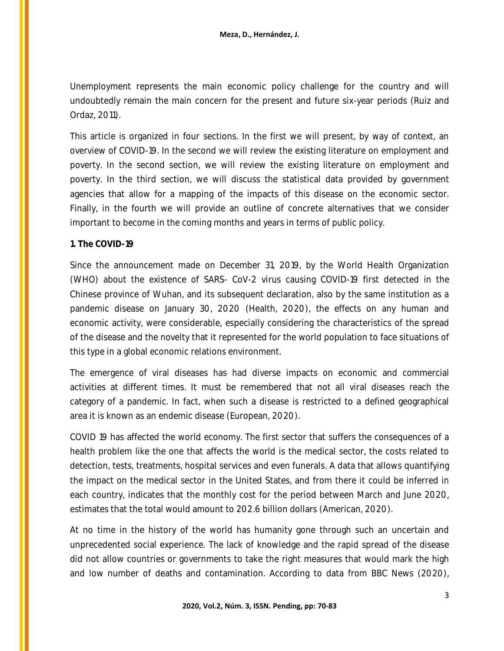Unemployment represents the main economic policy challenge for the country and will undoubtedly remain the main concern for the present and future six-year periods (Ruiz and Ordaz, 2011).

This article is organized in four sections. In the first we will present, by way of context, an overview of COVID-19. In the second we will review the existing literature on employment and poverty. In the second section, we will review the existing literature on employment and poverty. In the third section, we will discuss the statistical data provided by government agencies that allow for a mapping of the impacts of this disease on the economic sector. Finally, in the fourth we will provide an outline of concrete alternatives that we consider important to become in the coming months and years in terms of public policy.

#### **1. The COVID-19**

Since the announcement made on December 31, 2019, by the World Health Organization (WHO) about the existence of SARS- CoV-2 virus causing COVID-19 first detected in the Chinese province of Wuhan, and its subsequent declaration, also by the same institution as a pandemic disease on January 30, 2020 (Health, 2020), the effects on any human and economic activity, were considerable, especially considering the characteristics of the spread of the disease and the novelty that it represented for the world population to face situations of this type in a global economic relations environment.

The emergence of viral diseases has had diverse impacts on economic and commercial activities at different times. It must be remembered that not all viral diseases reach the category of a pandemic. In fact, when such a disease is restricted to a defined geographical area it is known as an endemic disease (European, 2020).

COVID 19 has affected the world economy. The first sector that suffers the consequences of a health problem like the one that affects the world is the medical sector, the costs related to detection, tests, treatments, hospital services and even funerals. A data that allows quantifying the impact on the medical sector in the United States, and from there it could be inferred in each country, indicates that the monthly cost for the period between March and June 2020, estimates that the total would amount to 202.6 billion dollars (American, 2020).

At no time in the history of the world has humanity gone through such an uncertain and unprecedented social experience. The lack of knowledge and the rapid spread of the disease did not allow countries or governments to take the right measures that would mark the high and low number of deaths and contamination. According to data from BBC News (2020),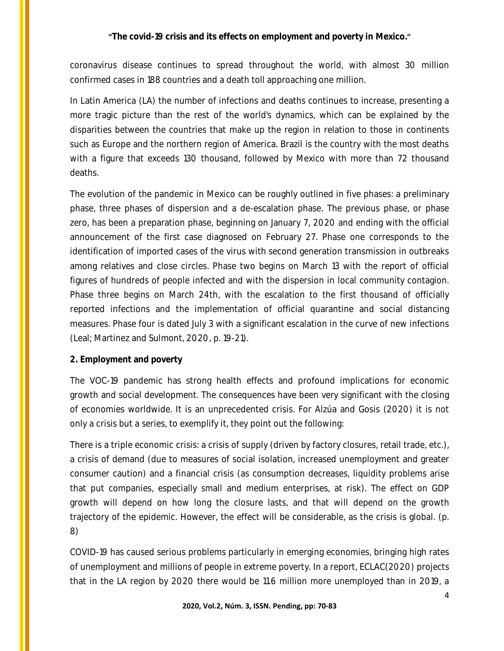coronavirus disease continues to spread throughout the world, with almost 30 million confirmed cases in 188 countries and a death toll approaching one million.

In Latin America (LA) the number of infections and deaths continues to increase, presenting a more tragic picture than the rest of the world's dynamics, which can be explained by the disparities between the countries that make up the region in relation to those in continents such as Europe and the northern region of America. Brazil is the country with the most deaths with a figure that exceeds 130 thousand, followed by Mexico with more than 72 thousand deaths.

The evolution of the pandemic in Mexico can be roughly outlined in five phases: a preliminary phase, three phases of dispersion and a de-escalation phase. The previous phase, or phase zero, has been a preparation phase, beginning on January 7, 2020 and ending with the official announcement of the first case diagnosed on February 27. Phase one corresponds to the identification of imported cases of the virus with second generation transmission in outbreaks among relatives and close circles. Phase two begins on March 13 with the report of official figures of hundreds of people infected and with the dispersion in local community contagion. Phase three begins on March 24th, with the escalation to the first thousand of officially reported infections and the implementation of official quarantine and social distancing measures. Phase four is dated July 3 with a significant escalation in the curve of new infections (Leal; Martinez and Sulmont, 2020, p. 19-21).

### **2. Employment and poverty**

The VOC-19 pandemic has strong health effects and profound implications for economic growth and social development. The consequences have been very significant with the closing of economies worldwide. It is an unprecedented crisis. For Alzúa and Gosis (2020) it is not only a crisis but a series, to exemplify it, they point out the following:

There is a triple economic crisis: a crisis of supply (driven by factory closures, retail trade, etc.), a crisis of demand (due to measures of social isolation, increased unemployment and greater consumer caution) and a financial crisis (as consumption decreases, liquidity problems arise that put companies, especially small and medium enterprises, at risk). The effect on GDP growth will depend on how long the closure lasts, and that will depend on the growth trajectory of the epidemic. However, the effect will be considerable, as the crisis is global. (p. 8)

COVID-19 has caused serious problems particularly in emerging economies, bringing high rates of unemployment and millions of people in extreme poverty. In a report, ECLAC(2020) projects that in the LA region by 2020 there would be 11.6 million more unemployed than in 2019, a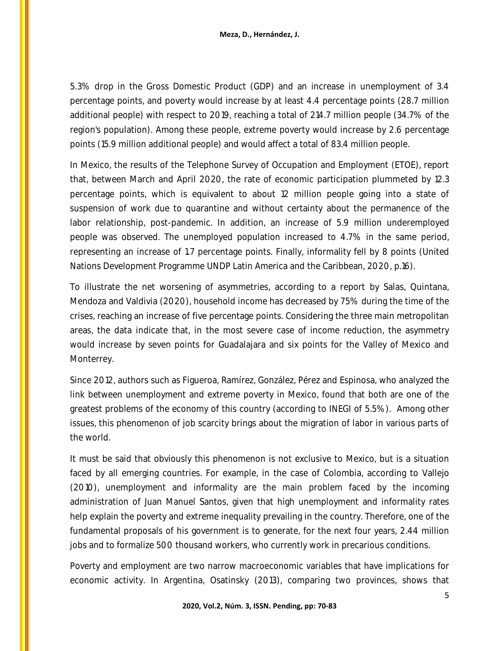5.3% drop in the Gross Domestic Product (GDP) and an increase in unemployment of 3.4 percentage points, and poverty would increase by at least 4.4 percentage points (28.7 million additional people) with respect to 2019, reaching a total of 214.7 million people (34.7% of the region's population). Among these people, extreme poverty would increase by 2.6 percentage points (15.9 million additional people) and would affect a total of 83.4 million people.

In Mexico, the results of the Telephone Survey of Occupation and Employment (ETOE), report that, between March and April 2020, the rate of economic participation plummeted by 12.3 percentage points, which is equivalent to about 12 million people going into a state of suspension of work due to quarantine and without certainty about the permanence of the labor relationship, post-pandemic. In addition, an increase of 5.9 million underemployed people was observed. The unemployed population increased to 4.7% in the same period, representing an increase of 1.7 percentage points. Finally, informality fell by 8 points (United Nations Development Programme UNDP Latin America and the Caribbean, 2020, p.16).

To illustrate the net worsening of asymmetries, according to a report by Salas, Quintana, Mendoza and Valdivia (2020), household income has decreased by 75% during the time of the crises, reaching an increase of five percentage points. Considering the three main metropolitan areas, the data indicate that, in the most severe case of income reduction, the asymmetry would increase by seven points for Guadalajara and six points for the Valley of Mexico and Monterrey.

Since 2012, authors such as Figueroa, Ramírez, González, Pérez and Espinosa, who analyzed the link between unemployment and extreme poverty in Mexico, found that both are one of the greatest problems of the economy of this country (according to INEGI of 5.5%). Among other issues, this phenomenon of job scarcity brings about the migration of labor in various parts of the world.

It must be said that obviously this phenomenon is not exclusive to Mexico, but is a situation faced by all emerging countries. For example, in the case of Colombia, according to Vallejo (2010), unemployment and informality are the main problem faced by the incoming administration of Juan Manuel Santos, given that high unemployment and informality rates help explain the poverty and extreme inequality prevailing in the country. Therefore, one of the fundamental proposals of his government is to generate, for the next four years, 2.44 million jobs and to formalize 500 thousand workers, who currently work in precarious conditions.

Poverty and employment are two narrow macroeconomic variables that have implications for economic activity. In Argentina, Osatinsky (2013), comparing two provinces, shows that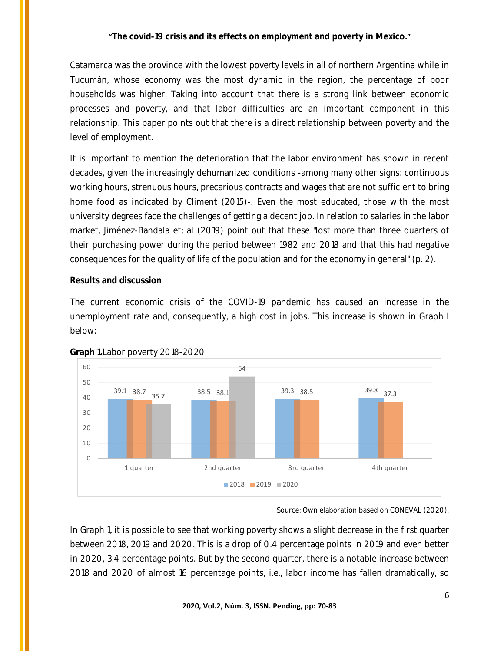Catamarca was the province with the lowest poverty levels in all of northern Argentina while in Tucumán, whose economy was the most dynamic in the region, the percentage of poor households was higher. Taking into account that there is a strong link between economic processes and poverty, and that labor difficulties are an important component in this relationship. This paper points out that there is a direct relationship between poverty and the level of employment.

It is important to mention the deterioration that the labor environment has shown in recent decades, given the increasingly dehumanized conditions -among many other signs: continuous working hours, strenuous hours, precarious contracts and wages that are not sufficient to bring home food as indicated by Climent (2015)-. Even the most educated, those with the most university degrees face the challenges of getting a decent job. In relation to salaries in the labor market, Jiménez-Bandala et; al (2019) point out that these "lost more than three quarters of their purchasing power during the period between 1982 and 2018 and that this had negative consequences for the quality of life of the population and for the economy in general" (p. 2).

#### **Results and discussion**

The current economic crisis of the COVID-19 pandemic has caused an increase in the unemployment rate and, consequently, a high cost in jobs. This increase is shown in Graph I below:





Source: Own elaboration based on CONEVAL (2020).

In Graph 1, it is possible to see that working poverty shows a slight decrease in the first quarter between 2018, 2019 and 2020. This is a drop of 0.4 percentage points in 2019 and even better in 2020, 3.4 percentage points. But by the second quarter, there is a notable increase between 2018 and 2020 of almost 16 percentage points, i.e., labor income has fallen dramatically, so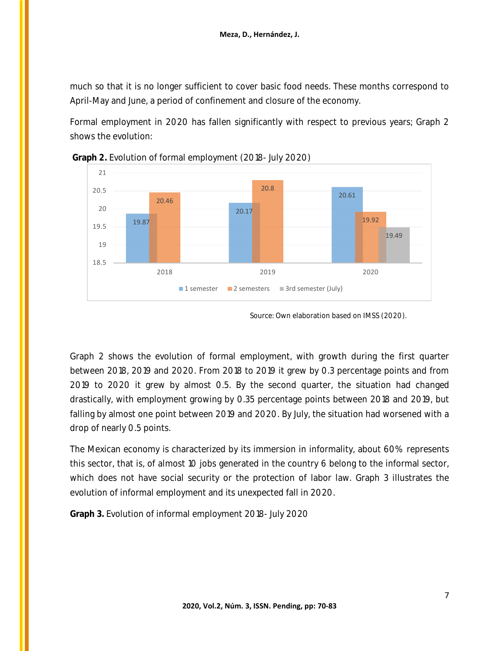much so that it is no longer sufficient to cover basic food needs. These months correspond to April-May and June, a period of confinement and closure of the economy.

Formal employment in 2020 has fallen significantly with respect to previous years; Graph 2 shows the evolution:



**Graph 2.** Evolution of formal employment (2018- July 2020)

Graph 2 shows the evolution of formal employment, with growth during the first quarter between 2018, 2019 and 2020. From 2018 to 2019 it grew by 0.3 percentage points and from 2019 to 2020 it grew by almost 0.5. By the second quarter, the situation had changed drastically, with employment growing by 0.35 percentage points between 2018 and 2019, but falling by almost one point between 2019 and 2020. By July, the situation had worsened with a drop of nearly 0.5 points.

The Mexican economy is characterized by its immersion in informality, about 60% represents this sector, that is, of almost 10 jobs generated in the country 6 belong to the informal sector, which does not have social security or the protection of labor law. Graph 3 illustrates the evolution of informal employment and its unexpected fall in 2020.

**Graph 3.** Evolution of informal employment 2018- July 2020

Source: Own elaboration based on IMSS (2020).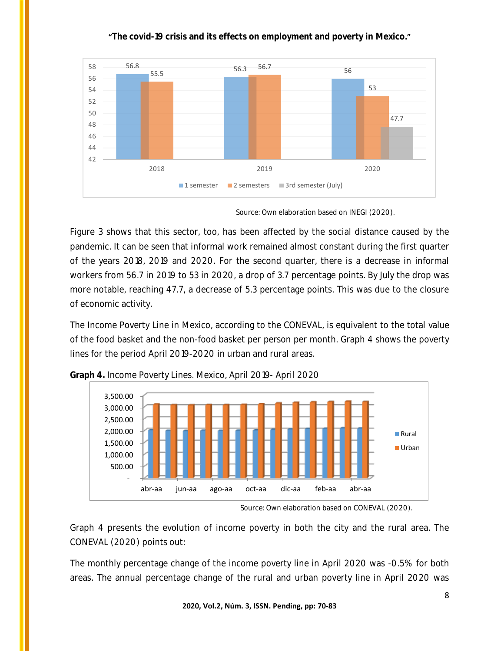

Figure 3 shows that this sector, too, has been affected by the social distance caused by the pandemic. It can be seen that informal work remained almost constant during the first quarter of the years 2018, 2019 and 2020. For the second quarter, there is a decrease in informal workers from 56.7 in 2019 to 53 in 2020, a drop of 3.7 percentage points. By July the drop was more notable, reaching 47.7, a decrease of 5.3 percentage points. This was due to the closure of economic activity.

The Income Poverty Line in Mexico, according to the CONEVAL, is equivalent to the total value of the food basket and the non-food basket per person per month. Graph 4 shows the poverty lines for the period April 2019-2020 in urban and rural areas.



**Graph 4.** Income Poverty Lines. Mexico, April 2019- April 2020

Graph 4 presents the evolution of income poverty in both the city and the rural area. The CONEVAL (2020) points out:

The monthly percentage change of the income poverty line in April 2020 was -0.5% for both areas. The annual percentage change of the rural and urban poverty line in April 2020 was

Source: Own elaboration based on INEGI (2020).

Source: Own elaboration based on CONEVAL (2020).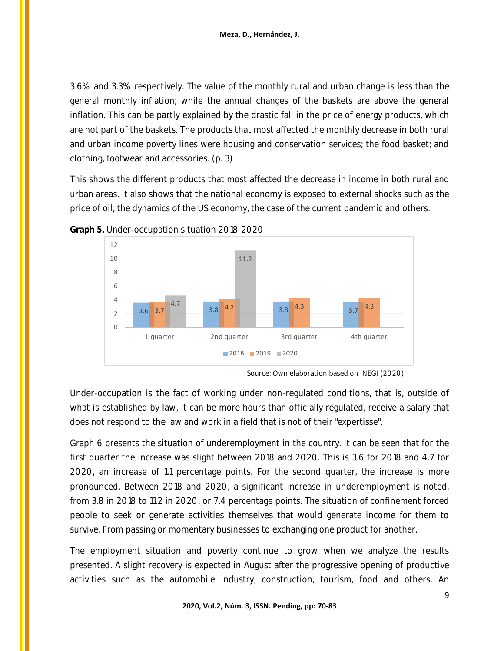3.6% and 3.3% respectively. The value of the monthly rural and urban change is less than the general monthly inflation; while the annual changes of the baskets are above the general inflation. This can be partly explained by the drastic fall in the price of energy products, which are not part of the baskets. The products that most affected the monthly decrease in both rural and urban income poverty lines were housing and conservation services; the food basket; and clothing, footwear and accessories. (p. 3)

This shows the different products that most affected the decrease in income in both rural and urban areas. It also shows that the national economy is exposed to external shocks such as the price of oil, the dynamics of the US economy, the case of the current pandemic and others.





Under-occupation is the fact of working under non-regulated conditions, that is, outside of what is established by law, it can be more hours than officially regulated, receive a salary that does not respond to the law and work in a field that is not of their "expertisse".

Graph 6 presents the situation of underemployment in the country. It can be seen that for the first quarter the increase was slight between 2018 and 2020. This is 3.6 for 2018 and 4.7 for 2020, an increase of 1.1 percentage points. For the second quarter, the increase is more pronounced. Between 2018 and 2020, a significant increase in underemployment is noted, from 3.8 in 2018 to 11.2 in 2020, or 7.4 percentage points. The situation of confinement forced people to seek or generate activities themselves that would generate income for them to survive. From passing or momentary businesses to exchanging one product for another.

The employment situation and poverty continue to grow when we analyze the results presented. A slight recovery is expected in August after the progressive opening of productive activities such as the automobile industry, construction, tourism, food and others. An

Source: Own elaboration based on INEGI (2020).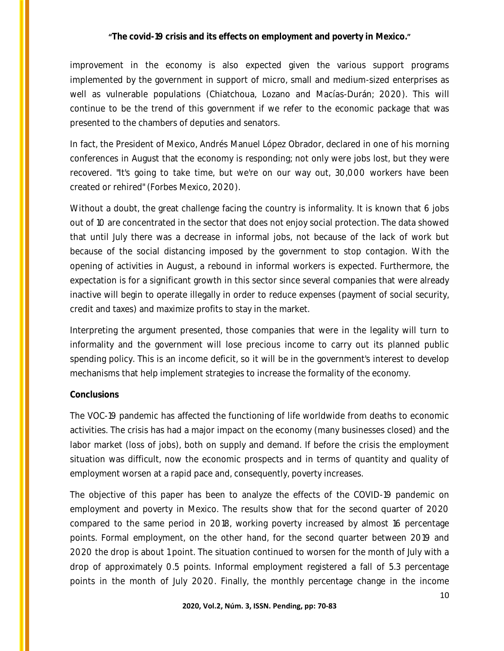improvement in the economy is also expected given the various support programs implemented by the government in support of micro, small and medium-sized enterprises as well as vulnerable populations (Chiatchoua, Lozano and Macías-Durán; 2020). This will continue to be the trend of this government if we refer to the economic package that was presented to the chambers of deputies and senators.

In fact, the President of Mexico, Andrés Manuel López Obrador, declared in one of his morning conferences in August that the economy is responding; not only were jobs lost, but they were recovered. "It's going to take time, but we're on our way out, 30,000 workers have been created or rehired" (Forbes Mexico, 2020).

Without a doubt, the great challenge facing the country is informality. It is known that 6 jobs out of 10 are concentrated in the sector that does not enjoy social protection. The data showed that until July there was a decrease in informal jobs, not because of the lack of work but because of the social distancing imposed by the government to stop contagion. With the opening of activities in August, a rebound in informal workers is expected. Furthermore, the expectation is for a significant growth in this sector since several companies that were already inactive will begin to operate illegally in order to reduce expenses (payment of social security, credit and taxes) and maximize profits to stay in the market.

Interpreting the argument presented, those companies that were in the legality will turn to informality and the government will lose precious income to carry out its planned public spending policy. This is an income deficit, so it will be in the government's interest to develop mechanisms that help implement strategies to increase the formality of the economy.

#### **Conclusions**

The VOC-19 pandemic has affected the functioning of life worldwide from deaths to economic activities. The crisis has had a major impact on the economy (many businesses closed) and the labor market (loss of jobs), both on supply and demand. If before the crisis the employment situation was difficult, now the economic prospects and in terms of quantity and quality of employment worsen at a rapid pace and, consequently, poverty increases.

The objective of this paper has been to analyze the effects of the COVID-19 pandemic on employment and poverty in Mexico. The results show that for the second quarter of 2020 compared to the same period in 2018, working poverty increased by almost 16 percentage points. Formal employment, on the other hand, for the second quarter between 2019 and 2020 the drop is about 1 point. The situation continued to worsen for the month of July with a drop of approximately 0.5 points. Informal employment registered a fall of 5.3 percentage points in the month of July 2020. Finally, the monthly percentage change in the income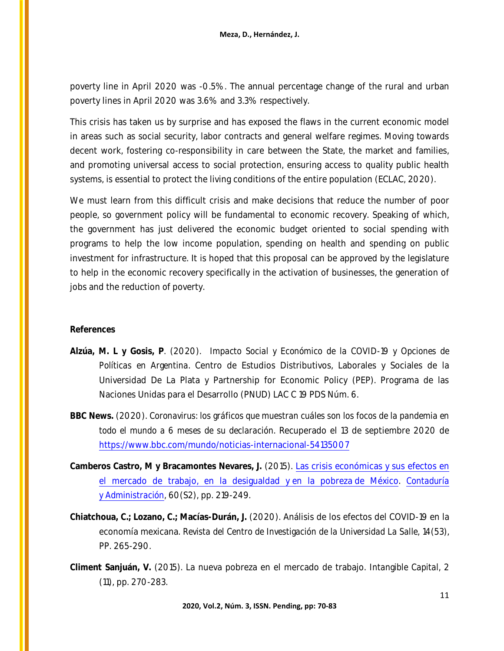poverty line in April 2020 was -0.5%. The annual percentage change of the rural and urban poverty lines in April 2020 was 3.6% and 3.3% respectively.

This crisis has taken us by surprise and has exposed the flaws in the current economic model in areas such as social security, labor contracts and general welfare regimes. Moving towards decent work, fostering co-responsibility in care between the State, the market and families, and promoting universal access to social protection, ensuring access to quality public health systems, is essential to protect the living conditions of the entire population (ECLAC, 2020).

We must learn from this difficult crisis and make decisions that reduce the number of poor people, so government policy will be fundamental to economic recovery. Speaking of which, the government has just delivered the economic budget oriented to social spending with programs to help the low income population, spending on health and spending on public investment for infrastructure. It is hoped that this proposal can be approved by the legislature to help in the economic recovery specifically in the activation of businesses, the generation of jobs and the reduction of poverty.

### **References**

- **Alzúa, M. L y Gosis, P**. (2020). *Impacto Social y Económico de la COVID-19 y Opciones de Políticas en Argentina*. Centro de Estudios Distributivos, Laborales y Sociales de la Universidad De La Plata y Partnership for Economic Policy (PEP). Programa de las Naciones Unidas para el Desarrollo (PNUD) LAC C 19 PDS Núm. 6.
- **BBC News.** (2020). *Coronavirus: los gráficos que muestran cuáles son los focos de la pandemia en todo el mundo a 6 meses de su declaración*. Recuperado el 13 de septiembre 2020 de <https://www.bbc.com/mundo/noticias-internacional-54135007>
- **Camberos Castro, M y Bracamontes Nevares, J.** (2015). Las [crisis económicas y](https://www.sciencedirect.com/science/article/pii/S0186104215000042) sus efectos en [el mercado de trabajo, en la desigualdad y](https://www.sciencedirect.com/science/article/pii/S0186104215000042) en la pobreza de México. *[Contaduría](https://www.sciencedirect.com/science/journal/01861042)  y [Administración,](https://www.sciencedirect.com/science/journal/01861042)* 60(S2), pp. 219-249.
- **Chiatchoua, C.; Lozano, C.; Macías-Durán, J.** (2020). Análisis de los efectos del COVID-19 en la economía mexicana. *Revista del Centro de Investigación de la Universidad La Salle,* 14(53), PP. 265-290.
- **Climent Sanjuán, V.** (2015). La nueva pobreza en el mercado de trabajo. *Intangible Capital*, 2 (11), pp. 270-283.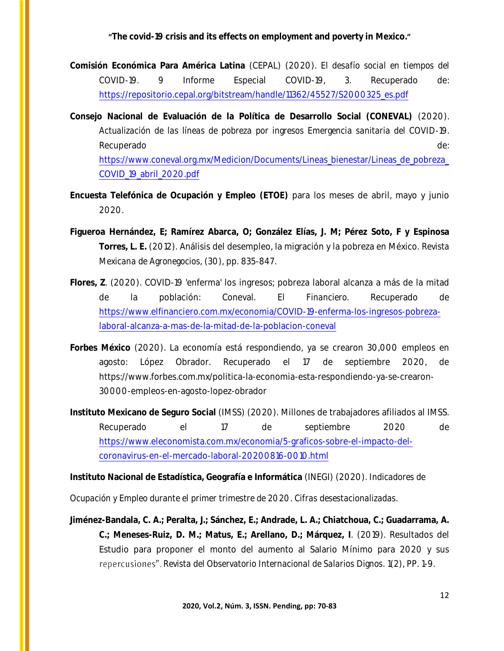- **Comisión Económica Para América Latina** (CEPAL) (2020). *El desafío social en tiempos del COVID-19*. 9 Informe Especial COVID-19, 3. Recuperado de: [https://repositorio.cepal.org/bitstream/handle/11362/45527/S2000325\\_es.pdf](https://repositorio.cepal.org/bitstream/handle/11362/45527/S2000325_es.pdf)
- **Consejo Nacional de Evaluación de la Política de Desarrollo Social (CONEVAL)** (2020). *Actualización de las líneas de pobreza por ingresos Emergencia sanitaria del COVID-19.* Recuperado de: https://www.coneval.org.mx/Medicion/Documents/Lineas\_bienestar/Lineas\_de\_pobreza [COVID\\_19\\_abril\\_2020.pdf](https://www.coneval.org.mx/Medicion/Documents/Lineas_bienestar/Lineas_de_pobreza_COVID_19_abril_2020.pdf)
- **Encuesta Telefónica de Ocupación y Empleo (ETOE)** para los meses de abril, mayo y junio 2020.
- **Figueroa Hernández, E; Ramírez Abarca, O; González Elías, J. M; Pérez Soto, F y Espinosa Torres, L. E.** (2012). Análisis del desempleo, la migración y la pobreza en México. *Revista Mexicana de Agronegocios*, (30), pp. 835-847.
- **Flores, Z**. (2020). COVID-19 'enferma' los ingresos; pobreza laboral alcanza a más de la mitad de la población: Coneval. *El Financiero*. Recuperado de [https://www.elfinanciero.com.mx/economia/COVID-19-enferma-los-ingresos-pobreza](https://www.elfinanciero.com.mx/economia/COVID-19-enferma-los-ingresos-pobreza-laboral-alcanza-a-mas-de-la-mitad-de-la-poblacion-coneval)[laboral-alcanza-a-mas-de-la-mitad-de-la-poblacion-coneval](https://www.elfinanciero.com.mx/economia/COVID-19-enferma-los-ingresos-pobreza-laboral-alcanza-a-mas-de-la-mitad-de-la-poblacion-coneval)
- **Forbes México** (2020). La economía está respondiendo, ya se crearon 30,000 empleos en agosto: López Obrador. Recuperado el 17 de septiembre 2020, de https://www.forbes.com.mx/politica-la-economia-esta-respondiendo-ya-se-crearon-30000-empleos-en-agosto-lopez-obrador
- **Instituto Mexicano de Seguro Social** (IMSS) (2020). Millones de trabajadores afiliados al IMSS. Recuperado el 17 de septiembre 2020 de [https://www.eleconomista.com.mx/economia/5-graficos-sobre-el-impacto-del](https://www.eleconomista.com.mx/economia/5-graficos-sobre-el-impacto-del-coronavirus-en-el-mercado-laboral-20200816-0010.html)[coronavirus-en-el-mercado-laboral-20200816-0010.html](https://www.eleconomista.com.mx/economia/5-graficos-sobre-el-impacto-del-coronavirus-en-el-mercado-laboral-20200816-0010.html)

**Instituto Nacional de Estadística, Geografía e Informática** (INEGI) (2020). *Indicadores de* 

*Ocupación y Empleo durante el primer trimestre de 2020. Cifras desestacionalizadas.*

**Jiménez-Bandala, C. A.; Peralta, J.; Sánchez, E.; Andrade, L. A.; Chiatchoua, C.; Guadarrama, A. C.; Meneses-Ruiz, D. M.; Matus, E.; Arellano, D.; Márquez, I**. (2019). Resultados del Estudio para proponer el monto del aumento al Salario Mínimo para 2020 y sus *Revista del Observatorio Internacional de Salarios Dignos.* 1(2), PP. 1-9.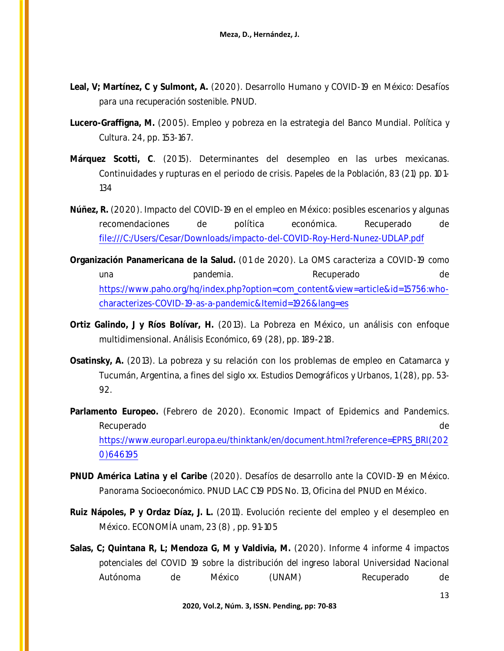- **Leal, V; Martínez, C y Sulmont, A.** (2020). *Desarrollo Humano y COVID-19 en México: Desafíos para una recuperación sostenible*. PNUD.
- **Lucero-Graffigna, M.** (2005). Empleo y pobreza en la estrategia del Banco Mundial. *Política y Cultura*. 24, pp. 153-167.
- **Márquez Scotti, C**. (2015). Determinantes del desempleo en las urbes mexicanas. Continuidades y rupturas en el periodo de crisis. *Papeles de la Población*, 83 (21) pp. 101- 134
- **Núñez, R.** (2020). Impacto del COVID-19 en el empleo en México: posibles escenarios y algunas recomendaciones de política económica. Recuperado de [file:///C:/Users/Cesar/Downloads/impacto-del-COVID-Roy-Herd-Nunez-UDLAP.pdf](file:///C:/Users/leiil/Desktop/AppData/Local/Packages/Microsoft.Office.Desktop_8wekyb3d8bbwe/AC/AppData/Local/Packages/microsoft.windowscommunicationsapps_8wekyb3d8bbwe/LocalState/Files/S0/Cesar/Downloads/impacto-del-COVID-Roy-Herd-Nunez-UDLAP.pdf)
- **Organización Panamericana de la Salud.** (01 de 2020). *La OMS caracteriza a COVID-19 como una pandemia.* Recuperado de de [https://www.paho.org/hq/index.php?option=com\\_content&view=article&id=15756:who](https://www.paho.org/hq/index.php?option=com_content&view=article&id=15756:who-characterizes-COVID-19-as-a-pandemic&Itemid=1926&lang=es)[characterizes-COVID-19-as-a-pandemic&Itemid=1926&lang=es](https://www.paho.org/hq/index.php?option=com_content&view=article&id=15756:who-characterizes-COVID-19-as-a-pandemic&Itemid=1926&lang=es)
- **Ortiz Galindo, J y Ríos Bolívar, H.** (2013). La Pobreza en México, un análisis con enfoque multidimensional. *Análisis Económico*, 69 (28), pp. 189-218.
- **Osatinsky, A.** (2013). La pobreza y su relación con los problemas de empleo en Catamarca y Tucumán, Argentina, a fines del siglo xx. *Estudios Demográficos y Urbanos*, 1 (28), pp. 53- 92.
- **Parlamento Europeo.** (Febrero de 2020). Economic Impact of Epidemics and Pandemics. Recuperado de la contrado de la contrado de la contrado de la contrado de la contrado de la contrado de la contrado de la contrado de la contrado de la contrado de la contrado de la contrado de la contrado de la contrado d [https://www.europarl.europa.eu/thinktank/en/document.html?reference=EPRS\\_BRI\(202](https://www.europarl.europa.eu/thinktank/en/document.html?reference=EPRS_BRI(2020)646195) [0\)646195](https://www.europarl.europa.eu/thinktank/en/document.html?reference=EPRS_BRI(2020)646195)
- **PNUD América Latina y el Caribe** (2020). *Desafíos de desarrollo ante la COVID-19 en México. Panorama Socioeconómico*. PNUD LAC C19 PDS No. 13, Oficina del PNUD en México.
- **Ruiz Nápoles, P y Ordaz Díaz, J. L.** (2011). Evolución reciente del empleo y el desempleo en México. *ECONOMÍA unam*, 23 (8) , pp. 91-105
- **Salas, C; Quintana R, L; Mendoza G, M y Valdivia, M.** (2020). *Informe 4 informe 4 impactos potenciales del COVID 19 sobre la distribución del ingreso laboral* Universidad Nacional Autónoma de México (UNAM) Recuperado de